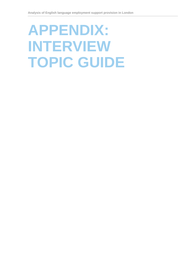# **APPENDIX: INTERVIEW TOPIC GUIDE**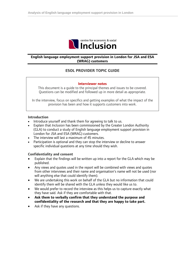

## **English language employment support provision in London for JSA and ESA (WRAG) customers**

# **ESOL PROVIDER TOPIC GUIDE**

#### **Interviewer notes**

This document is a guide to the principal themes and issues to be covered. Questions can be modified and followed up in more detail as appropriate.

In the interview, focus on specifics and getting examples of what the impact of the provision has been and how it supports customers into work.

#### **Introduction**

- Introduce yourself and thank them for agreeing to talk to us.
- Explain that *Inclusion* has been commissioned by the Greater London Authority (GLA) to conduct a study of English language employment support provision in London for JSA and ESA (WRAG) customers.
- The interview will last a maximum of 45 minutes.
- Participation is optional and they can stop the interview or decline to answer specific individual questions at any time should they wish.

#### **Confidentiality and consent**

- Explain that the findings will be written up into a report for the GLA which may be published.
- Any views and quotes used in the report will be combined with views and quotes from other interviews and their name and organisation's name will not be used (nor will anything else that could identify them).
- We are undertaking this work on behalf of the GLA but no information that could identify them will be shared with the GLA unless they would like us to.
- We would prefer to record the interview as this helps us to capture exactly what they have said. Ask if they are comfortable with that.
- **Ask them to verbally confirm that they understand the purpose and confidentiality of the research and that they are happy to take part.**
- Ask if they have any questions.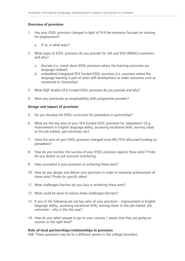## **Overview of provision**

- 1. Has your ESOL provision changed in light of SFA fee remission focused on training for employment?
	- a. If so, in what ways?
- 2. What types of ESOL provision do you provide for JSA and ESA (WRAG) customers and why?
	- a. discrete (i.e. stand-alone ESOL provision where the learning outcomes are language-related)
	- b. embedded/integrated SFA funded ESOL provision (i.e. provision where the language learning is part of other skill development or wider outcomes such as vocational or citizenship)
- 3. What NQF level(s) SFA funded ESOL provision do you provide and why?
- 4. Were you previously an employability skills programme provider?

## **Design and impact of provision**

- 5. Do you develop the ESOL curriculum for jobseekers in partnership?
- 6. What are the key aims of your SFA funded ESOL provision for Jobseekers? (E.g. improvement in English language ability, accessing vocational skills, moving closer to the job market, job outcomes, etc)
- 7. Have the aims of your ESOL provision changed since BIS/SFA refocused funding on jobseekers?
- 8. How do you monitor the success of your ESOL provision against these aims? *Probe for any details on job outcome monitoring.*
- 9. How successful is your provision at achieving these aims?
- 10. How do you design and deliver your provision in order to maximise achievement of these aims? *Probe for specific detail*
- 11. What challenges/barriers do you face in achieving these aims?
- 12. What could be done to reduce these challenges/barriers?
- 13. If any of the following are not key aims of your provision improvement in English language ability, accessing vocational skills, moving closer to the job market, job outcomes – why is this the case?
- 14. How do you select people to go on your courses / assess that they are going on courses at the right level?

## **Role of local partnerships/relationships in provision**

[NB. These questions may be to a different person in the college/provider]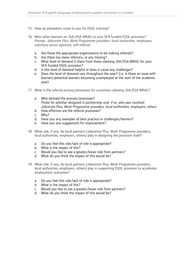- 15. How do jobseekers come to you for ESOL training?
- 16. Who refers learners on JSA/ESA WRAG to your SFA funded ESOL provision? *Prompt: Jobcentre Plus, Work Programme providers, local authorities, employers, voluntary sector agencies, self-referral.*
	- a. Are these the appropriate organisations to be making referrals?
	- b. Are there too many referrers, or any missing?
	- c. What level of demand is there from those claiming JSA/ESA WRAG for your SFA funded ESOL provision?
	- d. Is this level of demand helpful or does it cause any challenges?
	- e. Does the level of demand vary throughout the year? (i.e. is there an issue with learners/potential learners becoming unemployed at the start of the academic year)
- 17. What is the referral process/processes for customers claiming JSA/ESA WRAG?
	- a. Who devised the process/processes? *Probe for whether designed in partnership and, if so, who was involved. Jobcentre Plus, Work Programme providers, local authorities, employers, others*
	- b. How effective are the referral processes?
	- c. Why?
	- d. Have you any examples of best practice or challenges/barriers?
	- e. Have you any suggestions for improvement?
- 18. What role, if any, do local partners (Jobcentre Plus, Work Programme providers, local authorities, employers, others) play in designing the provision itself?
	- a. Do you feel this role/lack of role is appropriate?
	- b. What is the impact of this?
	- c. Would you like to see a greater/lesser role from partners?
	- d. What do you think the impact of this would be?
- 19. What role, if any, do local partners (Jobcentre Plus, Work Programme providers, local authorities, employers, others) play in supporting ESOL provision to accelerate employment outcomes?
	- a. Do you feel this role/lack of role is appropriate?
	- b. What is the impact of this?
	- c. Would you like to see a greater/lesser role from partners?
	- d. What do you think the impact of this would be?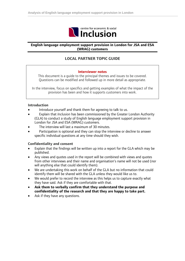

### **English language employment support provision in London for JSA and ESA (WRAG) customers**

## **LOCAL PARTNER TOPIC GUIDE**

#### **Interviewer notes**

This document is a guide to the principal themes and issues to be covered. Questions can be modified and followed up in more detail as appropriate.

In the interview, focus on specifics and getting examples of what the impact of the provision has been and how it supports customers into work.

#### **Introduction**

- Introduce yourself and thank them for agreeing to talk to us.
- Explain that *Inclusion* has been commissioned by the Greater London Authority (GLA) to conduct a study of English language employment support provision in London for JSA and ESA (WRAG) customers.
- The interview will last a maximum of 30 minutes.
- Participation is optional and they can stop the interview or decline to answer specific individual questions at any time should they wish.

### **Confidentiality and consent**

- Explain that the findings will be written up into a report for the GLA which may be published.
- Any views and quotes used in the report will be combined with views and quotes from other interviews and their name and organisation's name will not be used (nor will anything else that could identify them).
- We are undertaking this work on behalf of the GLA but no information that could identify them will be shared with the GLA unless they would like us to.
- We would prefer to record the interview as this helps us to capture exactly what they have said. Ask if they are comfortable with that.
- **Ask them to verbally confirm that they understand the purpose and confidentiality of the research and that they are happy to take part.**
- Ask if they have any questions.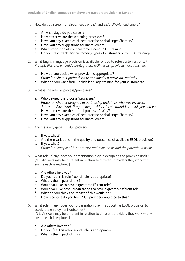- 1. How do you screen for ESOL needs of JSA and ESA (WRAG) customers?
	- a. At what stage do you screen?
	- b. How effective are the screening processes?
	- c. Have you any examples of best practice or challenges/barriers?
	- d. Have you any suggestions for improvement?
	- e. What proportion of your customers need ESOL training?
	- f. Do you 'fast-track' any customers/types of customers onto ESOL training?
- 2. What English language provision is available for you to refer customers onto? *Prompt: discrete, embedded/integrated, NQF levels, providers, locations, etc* 
	- a. How do you decide what provision is appropriate? *Probe for whether prefer discrete or embedded provision, and why.*
	- b. What do you want from English language training for your customers?
- 3. What is the referral process/processes?
	- a. Who devised the process/processes? *Probe for whether designed in partnership and, if so, who was involved. Jobcentre Plus, Work Programme providers, local authorities, employers, others*
	- b. How effective are the referral processes? Why?
	- c. Have you any examples of best practice or challenges/barriers?
	- d. Have you any suggestions for improvement?
- 4. Are there any gaps in ESOL provision?
	- a. If yes, what?
	- b. Are there variations in the quality and outcomes of available ESOL provision?
	- c. If yes, what? *Probe for example of best practice and issue areas and the potential reasons*
- 5. What role, if any, does your organisation play in designing the provision itself? [NB. Answers may be different in relation to different providers they work with – ensure each is explored]
	- a. Are others involved?
	- b. Do you feel this role/lack of role is appropriate?
	- c. What is the impact of this?
	- d. Would you like to have a greater/different role?
	- e. Would you like other organisations to have a greater/different role?
	- f. What do you think the impact of this would be?
	- g. How receptive do you feel ESOL providers would be to this?
- 6. What role, if any, does your organisation play in supporting ESOL provision to accelerate employment outcomes? [NB. Answers may be different in relation to different providers they work with – ensure each is explored]
	- a. Are others involved?
	- b. Do you feel this role/lack of role is appropriate?
	- c. What is the impact of this?